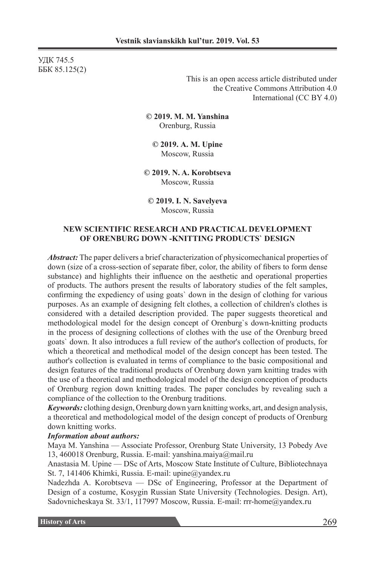УДК 745.5 ББК 85.125(2)

> This is an open access article distributed under the Creative Commons Attribution 4.0 International (CC BY 4.0)

**© 2019. М. М. Yanshina** Orenburg, Russia

**© 2019. А. М. Upine** Moscow, Russia

**© 2019. N. A. Korobtseva** Moscow, Russia

**© 2019. I. N. Savelyeva** Moscow, Russia

### **NEW SCIENTIFIC RESEARCH AND PRACTICAL DEVELOPMENT OF ORENBURG DOWN -KNITTING PRODUCTS` DESIGN**

*Abstract:* The paper delivers a brief characterization of physicomechanical properties of down (size of a cross-section of separate fiber, color, the ability of fibers to form dense substance) and highlights their influence on the aesthetic and operational properties of products. The authors present the results of laboratory studies of the felt samples, confirming the expediency of using goats` down in the design of clothing for various purposes. As an example of designing felt clothes, a collection of children's clothes is considered with a detailed description provided. The paper suggests theoretical and methodological model for the design concept of Orenburg`s down-knitting products in the process of designing collections of clothes with the use of the Orenburg breed goats` down. It also introduces a full review of the author's collection of products, for which a theoretical and methodical model of the design concept has been tested. The author's collection is evaluated in terms of compliance to the basic compositional and design features of the traditional products of Orenburg down yarn knitting trades with the use of a theoretical and methodological model of the design conception of products of Orenburg region down knitting trades. The paper concludes by revealing such a compliance of the collection to the Orenburg traditions.

*Keywords:* clothing design, Orenburg down yarn knitting works, art, and design analysis, a theoretical and methodological model of the design concept of products of Orenburg down knitting works.

#### *Information about authors:*

Maya M. Yanshina — Associate Professor, Orenburg State University, 13 Pobedy Ave 13, 460018 Orenburg, Russia. E-mail: yanshina.maiya@mail.ru

Anastasia M. Upine — DSc of Arts, Moscow State Institute of Culture, Bibliotechnaya St. 7, 141406 Khimki, Russia. E-mail: upine@yandex.ru

Nadezhda A. Korobtseva — DSc of Engineering, Professor at the Department of Design of a costume, Kosygin Russian State University (Technologies. Design. Art), Sadovnicheskaya St. 33/1, 117997 Moscow, Russia. E-mail: rrr-home@yandex.ru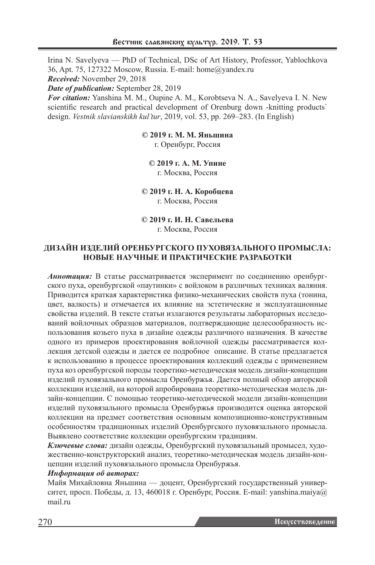Irina N. Savelyeva — PhD of Technical, DSc of Art History, Professor, Yablochkova 36, Apt. 75, 127322 Moscow, Russia. E-mail: home@yandex.ru *Received:* November 29, 2018

*Date of publication:* September 28, 2019

*For citation:* Yanshina M. M., Oupine A. M., Korobtseva N. A., Savelyeva I. N. New scientific research and practical development of Orenburg down -knitting products` design. *Vestnik slavianskikh kul'tur*, 2019, vol. 53, pp. 269–283. (In English)

**© 2019 г. М. М. Яньшина**

г. Оренбург, Россия

**© 2019 г. А. М. Упине** г. Москва, Россия

**© 2019 г. Н. А. Коробцева**  г. Москва, Россия

**© 2019 г. И. Н. Савельева** г. Москва, Россия

# **ДИЗАЙН ИЗДЕЛИЙ ОРЕНБУРГСКОГО ПУХОВЯЗАЛЬНОГО ПРОМЫСЛА: НОВЫЕ НАУЧНЫЕ И ПРАКТИЧЕСКИЕ РАЗРАБОТКИ**

*Аннотация:* В статье рассматривается эксперимент по соединению оренбургского пуха, оренбургской «паутинки» с войлоком в различных техниках валяния. Приводится краткая характеристика физико-механических свойств пуха (тонина, цвет, валкость) и отмечается их влияние на эстетические и эксплуатационные свойства изделий. В тексте статьи излагаются результаты лабораторных исследований войлочных образцов материалов, подтверждающие целесообразность использования козьего пуха в дизайне одежды различного назначения. В качестве одного из примеров проектирования войлочной одежды рассматривается коллекция детской одежды и дается ее подробное описание. В статье предлагается к использованию в процессе проектирования коллекций одежды с применением пуха коз оренбургской породы теоретико-методическая модель дизайн-концепции изделий пуховязального промысла Оренбуржья. Дается полный обзор авторской коллекции изделий, на которой апробирована теоретико-методическая модель дизайн-концепции. С помощью теоретико-методической модели дизайн-концепции изделий пуховязального промысла Оренбуржья производится оценка авторской коллекции на предмет соответствия основным композиционно-конструктивным особенностям традиционных изделий Оренбургского пуховязального промысла. Выявлено соответствие коллекции оренбургским традициям.

*Ключевые слова:* дизайн одежды, Оренбургский пуховязальный промысел, художественно-конструкторский анализ, теоретико-методическая модель дизайн-концепции изделий пуховязального промысла Оренбуржья.

# *Информация об авторах:*

Майя Михайловна Яньшина — доцент, Оренбургский государственный университет, просп. Победы, д. 13, 460018 г. Оренбург, Россия. E-mail: yanshina.maiya@ mail.ru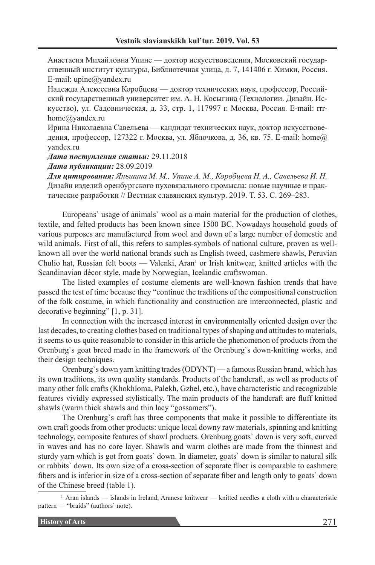Анастасия Михайловна Упине — доктор искусствоведения, Московский государственный институт культуры, Библиотечная улица, д. 7, 141406 г. Химки, Россия. E-mail: upine@yandex.ru

Надежда Алексеевна Коробцева — доктор технических наук, профессор, Российский государственный университет им. А. Н. Косыгина (Технологии. Дизайн. Искусство), ул. Садовническая, д. 33, стр. 1, 117997 г. Москва, Россия. E-mail: rrrhome@yandex.ru

Ирина Николаевна Савельева — кандидат технических наук, доктор искусствоведения, профессор, 127322 г. Москва, ул. Яблочкова, д. 36, кв. 75. E-mail: home@ yandex.ru

*Дата поступления статьи:* 29.11.2018

*Дата публикации:* 28.09.2019

*Для цитирования: Яньшина М. М., Упине А. М., Коробцева Н. А., Савельева И. Н.* Дизайн изделий оренбургского пуховязального промысла: новые научные и практические разработки // Вестник славянских культур. 2019. Т. 53. С. 269–283.

Europeans` usage of animals` wool as a main material for the production of clothes, textile, and felted products has been known since 1500 BC. Nowadays household goods of various purposes are manufactured from wool and down of a large number of domestic and wild animals. First of all, this refers to samples-symbols of national culture, proven as wellknown all over the world national brands such as English tweed, cashmere shawls, Peruvian Chulio hat, Russian felt boots — Valenki, Aran<sup>1</sup> or Irish knitwear, knitted articles with the Scandinavian décor style, made by Norwegian, Icelandic craftswoman.

The listed examples of costume elements are well-known fashion trends that have passed the test of time because they "continue the traditions of the compositional construction of the folk costume, in which functionality and construction are interconnected, plastic and decorative beginning" [1, p. 31].

In connection with the increased interest in environmentally oriented design over the last decades, to creating clothes based on traditional types of shaping and attitudes to materials, it seems to us quite reasonable to consider in this article the phenomenon of products from the Orenburg`s goat breed made in the framework of the Orenburg`s down-knitting works, and their design techniques.

Orenburg`s down yarn knitting trades (ODYNT) — a famous Russian brand, which has its own traditions, its own quality standards. Products of the handcraft, as well as products of many other folk crafts (Khokhloma, Palekh, Gzhel, etc.), have characteristic and recognizable features vividly expressed stylistically. The main products of the handcraft are fluff knitted shawls (warm thick shawls and thin lacy "gossamers").

The Orenburg`s craft has three components that make it possible to differentiate its own craft goods from other products: unique local downy raw materials, spinning and knitting technology, composite features of shawl products. Orenburg goats` down is very soft, curved in waves and has no core layer. Shawls and warm clothes are made from the thinnest and sturdy yarn which is got from goats` down. In diameter, goats` down is similar to natural silk or rabbits` down. Its own size of a cross-section of separate fiber is comparable to cashmere fibers and is inferior in size of a cross-section of separate fiber and length only to goats` down of the Chinese breed (table 1).

1 Aran islands — islands in Ireland; Aranese knitwear — knitted needles a cloth with a characteristic pattern — "braids" (authors` note).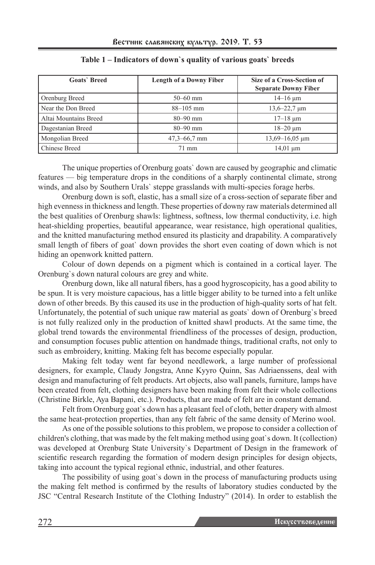| <b>Goats</b> Breed    | <b>Length of a Downy Fiber</b> | Size of a Cross-Section of<br><b>Separate Downy Fiber</b> |
|-----------------------|--------------------------------|-----------------------------------------------------------|
| Orenburg Breed        | $50 - 60$ mm                   | $14-16 \mu m$                                             |
| Near the Don Breed    | $88 - 105$ mm                  | $13,6 - 22,7 \,\mu m$                                     |
| Altai Mountains Breed | $80 - 90$ mm                   | $17 - 18 \mu m$                                           |
| Dagestanian Breed     | $80 - 90$ mm                   | $18 - 20 \mu m$                                           |
| Mongolian Breed       | $47,3 - 66,7$ mm               | $13,69 - 16,05 \mu m$                                     |
| Chinese Breed         | 71 mm                          | $14,01 \mu m$                                             |

#### **Table 1 – Indicators of down`s quality of various goats` breeds**

The unique properties of Orenburg goats` down are caused by geographic and climatic features — big temperature drops in the conditions of a sharply continental climate, strong winds, and also by Southern Urals` steppe grasslands with multi-species forage herbs.

Orenburg down is soft, elastic, has a small size of a cross-section of separate fiber and high evenness in thickness and length. These properties of downy raw materials determined all the best qualities of Orenburg shawls: lightness, softness, low thermal conductivity, i.e. high heat-shielding properties, beautiful appearance, wear resistance, high operational qualities, and the knitted manufacturing method ensured its plasticity and drapability. A comparatively small length of fibers of goat` down provides the short even coating of down which is not hiding an openwork knitted pattern.

Colour of down depends on a pigment which is contained in a cortical layer. The Orenburg`s down natural colours are grey and white.

Orenburg down, like all natural fibers, has a good hygroscopicity, has a good ability to be spun. It is very moisture capacious, has a little bigger ability to be turned into a felt unlike down of other breeds. By this caused its use in the production of high-quality sorts of hat felt. Unfortunately, the potential of such unique raw material as goats` down of Orenburg`s breed is not fully realized only in the production of knitted shawl products. At the same time, the global trend towards the environmental friendliness of the processes of design, production, and consumption focuses public attention on handmade things, traditional crafts, not only to such as embroidery, knitting. Making felt has become especially popular.

Making felt today went far beyond needlework, a large number of professional designers, for example, Claudy Jongstra, Anne Kyyro Quinn, Sas Adriaenssens, deal with design and manufacturing of felt products. Art objects, also wall panels, furniture, lamps have been created from felt, clothing designers have been making from felt their whole collections (Christine Birkle, Aya Bapani, etc.). Products, that are made of felt are in constant demand.

Felt from Orenburg goat`s down has a pleasant feel of cloth, better drapery with almost the same heat-protection properties, than any felt fabric of the same density of Merino wool.

As one of the possible solutions to this problem, we propose to consider a collection of children's clothing, that was made by the felt making method using goat`s down. It (collection) was developed at Orenburg State University`s Department of Design in the framework of scientific research regarding the formation of modern design principles for design objects, taking into account the typical regional ethnic, industrial, and other features.

The possibility of using goat`s down in the process of manufacturing products using the making felt method is confirmed by the results of laboratory studies conducted by the JSC "Central Research Institute of the Clothing Industry" (2014). In order to establish the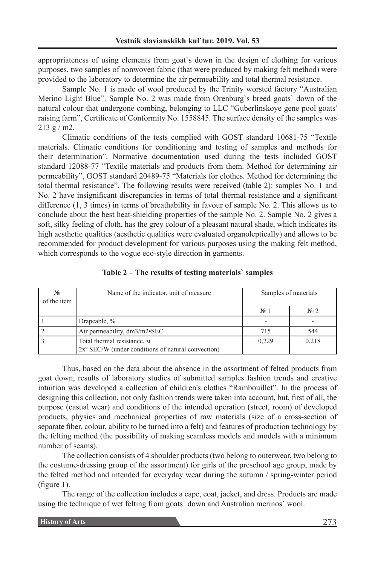appropriateness of using elements from goat`s down in the design of clothing for various purposes, two samples of nonwoven fabric (that were produced by making felt method) were provided to the laboratory to determine the air permeability and total thermal resistance.

Sample No. 1 is made of wool produced by the Trinity worsted factory "Australian Merino Light Blue". Sample No. 2 was made from Orenburg`s breed goats` down of the natural colour that undergone combing, belonging to LLC "Guberlinskoye gene pool goats' raising farm", Certificate of Conformity No. 1558845. The surface density of the samples was 213 g / m2.

Climatic conditions of the tests complied with GOST standard 10681-75 "Textile materials. Climatic conditions for conditioning and testing of samples and methods for their determination". Normative documentation used during the tests included GOST standard 12088-77 "Textile materials and products from them. Method for determining air permeability", GOST standard 20489-75 "Materials for clothes. Method for determining the total thermal resistance". The following results were received (table 2): samples No. 1 and No. 2 have insignificant discrepancies in terms of total thermal resistance and a significant difference (1, 3 times) in terms of breathability in favour of sample No. 2. This allows us to conclude about the best heat-shielding properties of the sample No. 2. Sample No. 2 gives a soft, silky feeling of cloth, has the grey colour of a pleasant natural shade, which indicates its high aesthetic qualities (aesthetic qualities were evaluated organoleptically) and allows to be recommended for product development for various purposes using the making felt method, which corresponds to the vogue eco-style direction in garments.

| $N_2$<br>of the item | Name of the indicator, unit of measure                                                     | Samples of materials |                        |
|----------------------|--------------------------------------------------------------------------------------------|----------------------|------------------------|
|                      |                                                                                            | $N_2$ 1              | $\mathbb{N}^{\circ}$ 2 |
|                      | Drapeable, %                                                                               |                      |                        |
|                      | Air permeability, dm3/m2•SEC                                                               | 715                  | 544                    |
|                      | Total thermal resistance, м<br>$2x^{\circ}$ SEC/W (under conditions of natural convection) | 0.229                | 0,218                  |

**Table 2 – The results of testing materials` samples**

Thus, based on the data about the absence in the assortment of felted products from goat down, results of laboratory studies of submitted samples fashion trends and creative intuition was developed a collection of children's clothes "Rambouillet". In the process of designing this collection, not only fashion trends were taken into account, but, first of all, the purpose (casual wear) and conditions of the intended operation (street, room) of developed products, physics and mechanical properties of raw materials (size of a cross-section of separate fiber, colour, ability to be turned into a felt) and features of production technology by the felting method (the possibility of making seamless models and models with a minimum number of seams).

The collection consists of 4 shoulder products (two belong to outerwear, two belong to the costume-dressing group of the assortment) for girls of the preschool age group, made by the felted method and intended for everyday wear during the autumn / spring-winter period (figure 1).

The range of the collection includes a cape, coat, jacket, and dress. Products are made using the technique of wet felting from goats` down and Australian merinos` wool.

| <b>History of Arts</b> |
|------------------------|
|------------------------|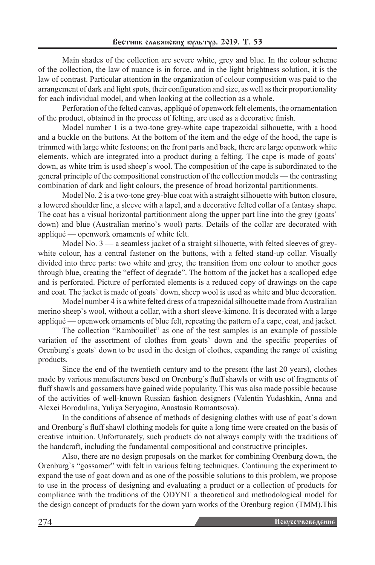Main shades of the collection are severe white, grey and blue. In the colour scheme of the collection, the law of nuance is in force, and in the light brightness solution, it is the law of contrast. Particular attention in the organization of colour composition was paid to the arrangement of dark and light spots, their configuration and size, as well as their proportionality for each individual model, and when looking at the collection as a whole.

Perforation of the felted canvas, appliqué of openwork felt elements, the ornamentation of the product, obtained in the process of felting, are used as a decorative finish.

Model number 1 is a two-tone grey-white cape trapezoidal silhouette, with a hood and a buckle on the buttons. At the bottom of the item and the edge of the hood, the cape is trimmed with large white festoons; on the front parts and back, there are large openwork white elements, which are integrated into a product during a felting. The cape is made of goats` down, as white trim is used sheep`s wool. The composition of the cape is subordinated to the general principle of the compositional construction of the collection models — the contrasting combination of dark and light colours, the presence of broad horizontal partitionments.

Model No. 2 is a two-tone grey-blue coat with a straight silhouette with button closure, a lowered shoulder line, a sleeve with a lapel, and a decorative felted collar of a fantasy shape. The coat has a visual horizontal partitionment along the upper part line into the grey (goats` down) and blue (Australian merino`s wool) parts. Details of the collar are decorated with appliqué — openwork ornaments of white felt.

Model No. 3 — a seamless jacket of a straight silhouette, with felted sleeves of greywhite colour, has a central fastener on the buttons, with a felted stand-up collar. Visually divided into three parts: two white and grey, the transition from one colour to another goes through blue, creating the "effect of degrade". The bottom of the jacket has a scalloped edge and is perforated. Picture of perforated elements is a reduced copy of drawings on the cape and coat. The jacket is made of goats` down, sheep wool is used as white and blue decoration.

Model number 4 is a white felted dress of a trapezoidal silhouette made from Australian merino sheep`s wool, without a collar, with a short sleeve-kimono. It is decorated with a large appliqué — openwork ornaments of blue felt, repeating the pattern of a cape, coat, and jacket.

The collection "Rambouillet" as one of the test samples is an example of possible variation of the assortment of clothes from goats` down and the specific properties of Orenburg`s goats` down to be used in the design of clothes, expanding the range of existing products.

Since the end of the twentieth century and to the present (the last 20 years), clothes made by various manufacturers based on Orenburg`s fluff shawls or with use of fragments of fluff shawls and gossamers have gained wide popularity. This was also made possible because of the activities of well-known Russian fashion designers (Valentin Yudashkin, Anna and Alexei Borodulina, Yuliya Seryogina, Anastasia Romantsova).

In the conditions of absence of methods of designing clothes with use of goat`s down and Orenburg`s fluff shawl clothing models for quite a long time were created on the basis of creative intuition. Unfortunately, such products do not always comply with the traditions of the handcraft, including the fundamental compositional and constructive principles.

Also, there are no design proposals on the market for combining Orenburg down, the Orenburg`s "gossamer" with felt in various felting techniques. Continuing the experiment to expand the use of goat down and as one of the possible solutions to this problem, we propose to use in the process of designing and evaluating a product or a collection of products for compliance with the traditions of the ODYNT a theoretical and methodological model for the design concept of products for the down yarn works of the Orenburg region (TMM).This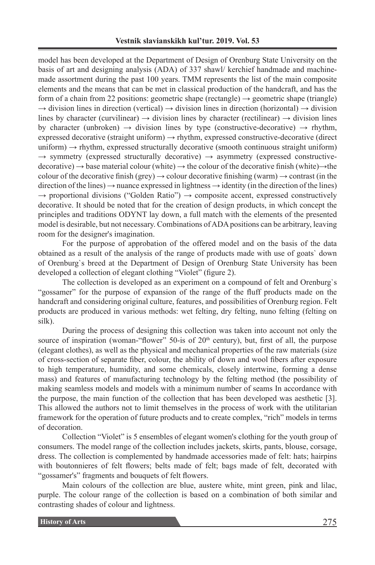model has been developed at the Department of Design of Orenburg State University on the basis of art and designing analysis (ADA) of 337 shawl/ kerchief handmade and machinemade assortment during the past 100 years. TMM represents the list of the main composite elements and the means that can be met in classical production of the handcraft, and has the form of a chain from 22 positions: geometric shape (rectangle)  $\rightarrow$  geometric shape (triangle)  $\rightarrow$  division lines in direction (vertical)  $\rightarrow$  division lines in direction (horizontal)  $\rightarrow$  division lines by character (curvilinear)  $\rightarrow$  division lines by character (rectilinear)  $\rightarrow$  division lines by character (unbroken)  $\rightarrow$  division lines by type (constructive-decorative)  $\rightarrow$  rhythm, expressed decorative (straight uniform)  $\rightarrow$  rhythm, expressed constructive-decorative (direct  $uniform) \rightarrow r$ hythm, expressed structurally decorative (smooth continuous straight uniform)  $\rightarrow$  symmetry (expressed structurally decorative)  $\rightarrow$  asymmetry (expressed constructivedecorative)  $\rightarrow$  base material colour (white)  $\rightarrow$  the colour of the decorative finish (white) $\rightarrow$  the colour of the decorative finish (grey)  $\rightarrow$  colour decorative finishing (warm)  $\rightarrow$  contrast (in the direction of the lines)  $\rightarrow$  nuance expressed in lightness  $\rightarrow$  identity (in the direction of the lines)  $\rightarrow$  proportional divisions ("Golden Ratio")  $\rightarrow$  composite accent, expressed constructively decorative. It should be noted that for the creation of design products, in which concept the principles and traditions ODYNT lay down, a full match with the elements of the presented model is desirable, but not necessary. Combinations of ADA positions can be arbitrary, leaving room for the designer's imagination.

For the purpose of approbation of the offered model and on the basis of the data obtained as a result of the analysis of the range of products made with use of goats` down of Orenburg`s breed at the Department of Design of Orenburg State University has been developed a collection of elegant clothing "Violet" (figure 2).

The collection is developed as an experiment on a compound of felt and Orenburg`s "gossamer" for the purpose of expansion of the range of the fluff products made on the handcraft and considering original culture, features, and possibilities of Orenburg region. Felt products are produced in various methods: wet felting, dry felting, nuno felting (felting on silk).

During the process of designing this collection was taken into account not only the source of inspiration (woman-"flower" 50-is of  $20<sup>th</sup>$  century), but, first of all, the purpose (elegant clothes), as well as the physical and mechanical properties of the raw materials (size of cross-section of separate fiber, colour, the ability of down and wool fibers after exposure to high temperature, humidity, and some chemicals, closely intertwine, forming a dense mass) and features of manufacturing technology by the felting method (the possibility of making seamless models and models with a minimum number of seams In accordance with the purpose, the main function of the collection that has been developed was aesthetic [3]. This allowed the authors not to limit themselves in the process of work with the utilitarian framework for the operation of future products and to create complex, "rich" models in terms of decoration.

Collection "Violet" is 5 ensembles of elegant women's clothing for the youth group of consumers. The model range of the collection includes jackets, skirts, pants, blouse, corsage, dress. The collection is complemented by handmade accessories made of felt: hats; hairpins with boutonnieres of felt flowers; belts made of felt; bags made of felt, decorated with "gossamer's" fragments and bouquets of felt flowers.

Main colours of the collection are blue, austere white, mint green, pink and lilac, purple. The colour range of the collection is based on a combination of both similar and contrasting shades of colour and lightness.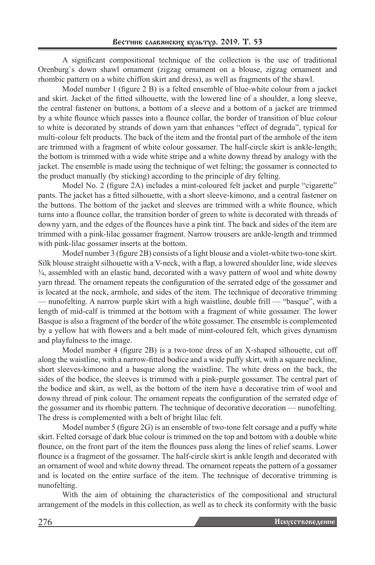A significant compositional technique of the collection is the use of traditional Orenburg`s down shawl ornament (zigzag ornament on a blouse, zigzag ornament and rhombic pattern on a white chiffon skirt and dress), as well as fragments of the shawl.

Model number 1 (figure 2 B) is a felted ensemble of blue-white colour from a jacket and skirt. Jacket of the fitted silhouette, with the lowered line of a shoulder, a long sleeve, the central fastener on buttons, a bottom of a sleeve and a bottom of a jacket are trimmed by a white flounce which passes into a flounce collar, the border of transition of blue colour to white is decorated by strands of down yarn that enhances "effect of degrada", typical for multi-colour felt products. The back of the item and the frontal part of the armhole of the item are trimmed with a fragment of white colour gossamer. The half-circle skirt is ankle-length; the bottom is trimmed with a wide white stripe and a white downy thread by analogy with the jacket. The ensemble is made using the technique of wet felting; the gossamer is connected to the product manually (by sticking) according to the principle of dry felting.

Model No. 2 (figure 2A) includes a mint-coloured felt jacket and purple "cigarette" pants. The jacket has a fitted silhouette, with a short sleeve-kimono, and a central fastener on the buttons. The bottom of the jacket and sleeves are trimmed with a white flounce, which turns into a flounce collar, the transition border of green to white is decorated with threads of downy yarn, and the edges of the flounces have a pink tint. The back and sides of the item are trimmed with a pink-lilac gossamer fragment. Narrow trousers are ankle-length and trimmed with pink-lilac gossamer inserts at the bottom.

Model number 3 (figure 2B) consists of a light blouse and a violet-white two-tone skirt. Silk blouse straight silhouette with a V-neck, with a flap, a lowered shoulder line, wide sleeves ¾, assembled with an elastic band, decorated with a wavy pattern of wool and white downy yarn thread. The ornament repeats the configuration of the serrated edge of the gossamer and is located at the neck, armhole, and sides of the item. The technique of decorative trimming — nunofelting. A narrow purple skirt with a high waistline, double frill — "basque", with a length of mid-calf is trimmed at the bottom with a fragment of white gossamer. The lower Basque is also a fragment of the border of the white gossamer. The ensemble is complemented by a yellow hat with flowers and a belt made of mint-coloured felt, which gives dynamism and playfulness to the image.

Model number 4 (figure 2B) is a two-tone dress of an X-shaped silhouette, cut off along the waistline, with a narrow-fitted bodice and a wide puffy skirt, with a square neckline, short sleeves-kimono and a basque along the waistline. The white dress on the back, the sides of the bodice, the sleeves is trimmed with a pink-purple gossamer. The central part of the bodice and skirt, as well, as the bottom of the item have a decorative trim of wool and downy thread of pink colour. The ornament repeats the configuration of the serrated edge of the gossamer and its rhombic pattern. The technique of decorative decoration — nunofelting. The dress is complemented with a belt of bright lilac felt.

Model number 5 (figure 2G) is an ensemble of two-tone felt corsage and a puffy white skirt. Felted corsage of dark blue colour is trimmed on the top and bottom with a double white flounce, on the front part of the item the flounces pass along the lines of relief seams. Lower flounce is a fragment of the gossamer. The half-circle skirt is ankle length and decorated with an ornament of wool and white downy thread. The ornament repeats the pattern of a gossamer and is located on the entire surface of the item. The technique of decorative trimming is nunofelting.

With the aim of obtaining the characteristics of the compositional and structural arrangement of the models in this collection, as well as to check its conformity with the basic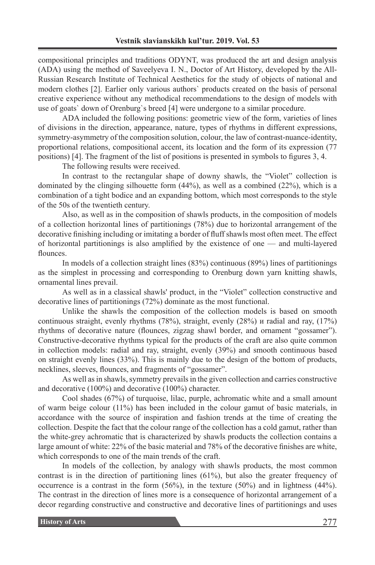compositional principles and traditions ODYNT, was produced the art and design analysis (ADA) using the method of Saveelyeva I. N., Doctor of Art History, developed by the All-Russian Research Institute of Technical Aesthetics for the study of objects of national and modern clothes [2]. Earlier only various authors` products created on the basis of personal creative experience without any methodical recommendations to the design of models with use of goats` down of Orenburg`s breed [4] were undergone to a similar procedure.

ADA included the following positions: geometric view of the form, varieties of lines of divisions in the direction, appearance, nature, types of rhythms in different expressions, symmetry-asymmetry of the composition solution, colour, the law of contrast-nuance-identity, proportional relations, compositional accent, its location and the form of its expression (77 positions) [4]. The fragment of the list of positions is presented in symbols to figures 3, 4.

The following results were received.

In contrast to the rectangular shape of downy shawls, the "Violet" collection is dominated by the clinging silhouette form (44%), as well as a combined (22%), which is a combination of a tight bodice and an expanding bottom, which most corresponds to the style of the 50s of the twentieth century.

Also, as well as in the composition of shawls products, in the composition of models of a collection horizontal lines of partitionings (78%) due to horizontal arrangement of the decorative finishing including or imitating a border of fluff shawls most often meet. The effect of horizontal partitionings is also amplified by the existence of one — and multi-layered flounces.

In models of a collection straight lines (83%) continuous (89%) lines of partitionings as the simplest in processing and corresponding to Orenburg down yarn knitting shawls, ornamental lines prevail.

As well as in a classical shawls' product, in the "Violet" collection constructive and decorative lines of partitionings (72%) dominate as the most functional.

Unlike the shawls the composition of the collection models is based on smooth continuous straight, evenly rhythms (78%), straight, evenly (28%) и radial and ray, (17%) rhythms of decorative nature (flounces, zigzag shawl border, and ornament "gossamer"). Constructive-decorative rhythms typical for the products of the craft are also quite common in collection models: radial and ray, straight, evenly (39%) and smooth continuous based on straight evenly lines (33%). This is mainly due to the design of the bottom of products, necklines, sleeves, flounces, and fragments of "gossamer".

As well as in shawls, symmetry prevails in the given collection and carries constructive and decorative (100%) and decorative (100%) character.

Cool shades (67%) of turquoise, lilac, purple, achromatic white and a small amount of warm beige colour (11%) has been included in the colour gamut of basic materials, in accordance with the source of inspiration and fashion trends at the time of creating the collection. Despite the fact that the colour range of the collection has a cold gamut, rather than the white-grey achromatic that is characterized by shawls products the collection contains a large amount of white: 22% of the basic material and 78% of the decorative finishes are white, which corresponds to one of the main trends of the craft.

In models of the collection, by analogy with shawls products, the most common contrast is in the direction of partitioning lines (61%), but also the greater frequency of occurrence is a contrast in the form (56%), in the texture (50%) and in lightness (44%). The contrast in the direction of lines more is a consequence of horizontal arrangement of a decor regarding constructive and constructive and decorative lines of partitionings and uses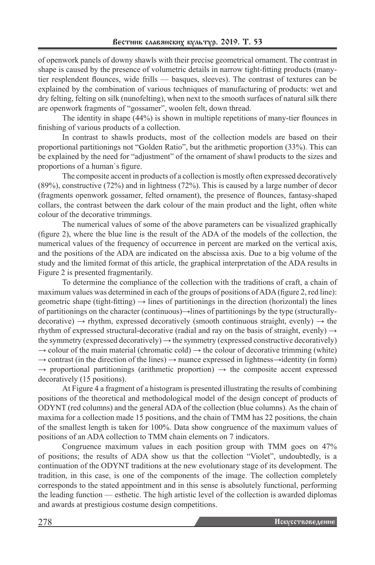of openwork panels of downy shawls with their precise geometrical ornament. The contrast in shape is caused by the presence of volumetric details in narrow tight-fitting products (manytier resplendent flounces, wide frills — basques, sleeves). The contrast of textures can be explained by the combination of various techniques of manufacturing of products: wet and dry felting, felting on silk (nunofelting), when next to the smooth surfaces of natural silk there are openwork fragments of "gossamer", woolen felt, down thread.

The identity in shape (44%) is shown in multiple repetitions of many-tier flounces in finishing of various products of a collection.

In contrast to shawls products, most of the collection models are based on their proportional partitionings not "Golden Ratio", but the arithmetic proportion (33%). This can be explained by the need for "adjustment" of the ornament of shawl products to the sizes and proportions of a human`s figure.

The composite accent in products of a collection is mostly often expressed decoratively (89%), constructive (72%) and in lightness (72%). This is caused by a large number of decor (fragments openwork gossamer, felted ornament), the presence of flounces, fantasy-shaped collars, the contrast between the dark colour of the main product and the light, often white colour of the decorative trimmings.

The numerical values of some of the above parameters can be visualized graphically (figure 2), where the blue line is the result of the ADA of the models of the collection, the numerical values of the frequency of occurrence in percent are marked on the vertical axis, and the positions of the ADA are indicated on the abscissa axis. Due to a big volume of the study and the limited format of this article, the graphical interpretation of the ADA results in Figure 2 is presented fragmentarily.

To determine the compliance of the collection with the traditions of craft, a chain of maximum values was determined in each of the groups of positions of ADA (figure 2, red line): geometric shape (tight-fitting)  $\rightarrow$  lines of partitionings in the direction (horizontal) the lines of partitionings on the character (continuous)→lines of partitionings by the type (structurallydecorative)  $\rightarrow$  rhythm, expressed decoratively (smooth continuous straight, evenly)  $\rightarrow$  the rhythm of expressed structural-decorative (radial and ray on the basis of straight, evenly)  $\rightarrow$ the symmetry (expressed decoratively)  $\rightarrow$  the symmetry (expressed constructive decoratively)  $\rightarrow$  colour of the main material (chromatic cold)  $\rightarrow$  the colour of decorative trimming (white)  $\rightarrow$  contrast (in the direction of the lines)  $\rightarrow$  nuance expressed in lightness $\rightarrow$ identity (in form)  $\rightarrow$  proportional partitionings (arithmetic proportion)  $\rightarrow$  the composite accent expressed decoratively (15 positions).

At Figure 4 a fragment of a histogram is presented illustrating the results of combining positions of the theoretical and methodological model of the design concept of products of ODYNT (red columns) and the general ADA of the collection (blue columns). As the chain of maxima for a collection made 15 positions, and the chain of TMM has 22 positions, the chain of the smallest length is taken for 100%. Data show congruence of the maximum values of positions of an ADA collection to TMM chain elements on 7 indicators.

Congruence maximum values in each position group with ТММ goes on 47% of positions; the results of ADA show us that the collection "Violet", undoubtedly, is a continuation of the ODYNT traditions at the new evolutionary stage of its development. The tradition, in this case, is one of the components of the image. The collection completely corresponds to the stated appointment and in this sense is absolutely functional, performing the leading function — esthetic. The high artistic level of the collection is awarded diplomas and awards at prestigious costume design competitions.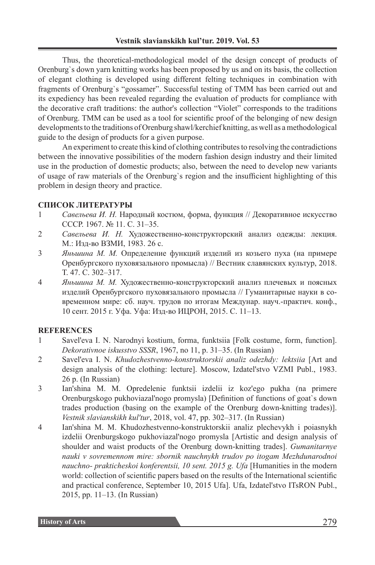Thus, the theoretical-methodological model of the design concept of products of Orenburg`s down yarn knitting works has been proposed by us and on its basis, the collection of elegant clothing is developed using different felting techniques in combination with fragments of Orenburg`s "gossamer". Successful testing of TMM has been carried out and its expediency has been revealed regarding the evaluation of products for compliance with the decorative craft traditions: the author's collection "Violet" corresponds to the traditions of Orenburg. TMM can be used as a tool for scientific proof of the belonging of new design developments to the traditions of Orenburg shawl/kerchief knitting, as well as a methodological guide to the design of products for a given purpose.

An experiment to create this kind of clothing contributes to resolving the contradictions between the innovative possibilities of the modern fashion design industry and their limited use in the production of domestic products; also, between the need to develop new variants of usage of raw materials of the Orenburg`s region and the insufficient highlighting of this problem in design theory and practice.

# **СПИСОК ЛИТЕРАТУРЫ**

- 1 *Савельева И. Н.* Народный костюм, форма, функция // Декоративное искусство СССР. 1967. № 11. С. 31–35.
- 2 *Савельева И. Н.* Художественно-конструкторский анализ одежды: лекция. М.: Изд-во ВЗМИ, 1983. 26 с.
- 3 *Яньшина М. М.* Определение функций изделий из козьего пуха (на примере Оренбургского пуховязального промысла) // Вестник славянских культур, 2018. Т. 47. С. 302–317.
- 4 *Яньшина М. М.* Художественно-конструкторский анализ плечевых и поясных изделий Оренбургского пуховязального промысла // Гуманитарные науки в современном мире: сб. науч. трудов по итогам Междунар. науч.-практич. конф., 10 сент. 2015 г. Уфа. Уфа: Изд-во ИЦРОН, 2015. С. 11–13.

### **REFERENCES**

- 1 Savel'eva I. N. Narodnyi kostium, forma, funktsiia [Folk costume, form, function]. *Dekorativnoe iskusstvo SSSR*, 1967, no 11, p. 31–35. (In Russian)
- 2 Savel'eva I. N. *Khudozhestvenno-konstruktorskii analiz odezhdy: lektsiia* [Art and design analysis of the clothing: lecture]. Moscow, Izdatel'stvo VZMI Publ., 1983. 26 p. (In Russian)
- 3 Ian'shina M. M. Opredelenie funktsii izdelii iz koz'ego pukha (na primere Orenburgskogo pukhoviazal'nogo promysla) [Definition of functions of goat`s down trades production (basing on the example of the Orenburg down-knitting trades)]. *Vestnik slavianskikh kul'tur*, 2018, vol. 47, pp. 302–317. (In Russian)
- 4 Ian'shina M. M. Khudozhestvenno-konstruktorskii analiz plechevykh i poiasnykh izdelii Orenburgskogo pukhoviazal'nogo promysla [Artistic and design analysis of shoulder and waist products of the Orenburg down-knitting trades]. *Gumanitarnye nauki v sovremennom mire: sbornik nauchnykh trudov po itogam Mezhdunarodnoi nauchno- prakticheskoi konferentsii, 10 sent. 2015 g. Ufa* [Humanities in the modern world: collection of scientific papers based on the results of the International scientific and practical conference, September 10, 2015 Ufa]. Ufa, Izdatel'stvo ITsRON Publ., 2015, pp. 11–13. (In Russian)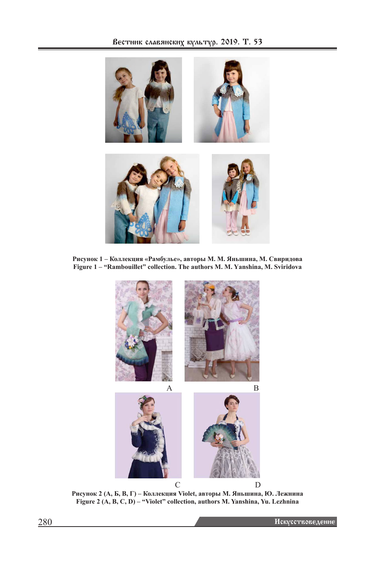

**Рисунок 1 – Коллекция «Рамбулье», авторы М. М. Яньшина, М. Свиридова Figure 1 – "Rambouillet" collection. The authors M. M. Yаnshina, M. Sviridova**



**Рисунок 2 (А, Б, В, Г) – Коллекция Violet, авторы М. Яньшина, Ю. Лежнина Figure 2 (A, B, C, D) – "Violet" collection, authors M. Yanshina, Yu. Lezhnina**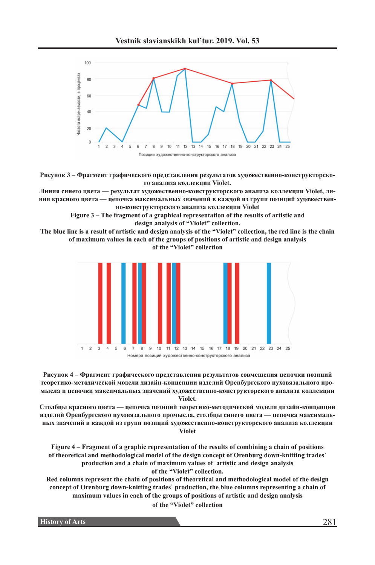



**Рисунок 3 – Фрагмент графического представления результатов художественно-конструкторского анализа коллекции Violet.**

**Линия синего цвета — результат художественно-конструкторского анализа коллекции Violet, линия красного цвета — цепочка максимальных значений в каждой из групп позиций художественно-конструкторского анализа коллекции Violet**

> **Figure 3 – The fragment of a graphical representation of the results of artistic and design analysis of "Violet" collection.**

**The blue line is a result of artistic and design analysis of the "Violet" collection, the red line is the chain of maximum values in each of the groups of positions of artistic and design analysis**

**of the "Violet" collection**



**Рисунок 4 – Фрагмент графического представления результатов совмещения цепочки позиций теоретико-методической модели дизайн-концепции изделий Оренбургского пуховязального промысла и цепочки максимальных значений художественно-конструкторского анализа коллекции Violet.**

**Столбцы красного цвета — цепочка позиций теоретико-методической модели дизайн-концепции изделий Оренбургского пуховязального промысла, столбцы синего цвета — цепочка максимальных значений в каждой из групп позиций художественно-конструкторского анализа коллекции Violet**

**Figure 4 – Fragment of a graphic representation of the results of combining a chain of positions of theoretical and methodological model of the design concept of Orenburg down-knitting trades` production and a chain of maximum values of artistic and design analysis of the "Violet" collection.**

**Red columns represent the chain of positions of theoretical and methodological model of the design concept of Orenburg down-knitting trades` production, the blue columns representing a chain of maximum values in each of the groups of positions of artistic and design analysis**

**of the "Violet" collection**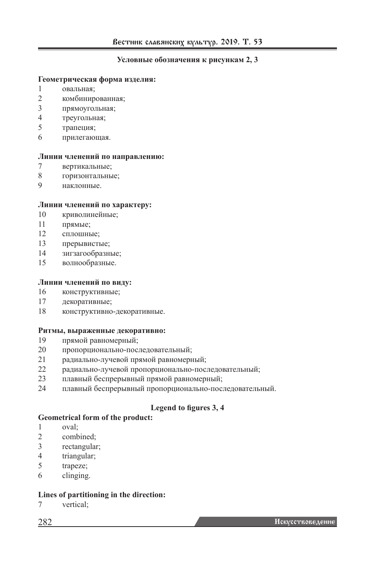## **Условные обозначения к рисункам 2, 3**

#### **Геометрическая форма изделия:**

- овальная;
- комбинированная;
- прямоугольная;
- треугольная;
- трапеция;
- прилегающая.

#### **Линии членений по направлению:**

- вертикальные;
- горизонтальные;
- наклонные.

#### **Линии членений по характеру:**

- криволинейные;
- прямые;
- сплошные;
- прерывистые;
- зигзагообразные;
- волнообразные.

### **Линии членений по виду:**

- конструктивные;
- декоративные;
- конструктивно-декоративные.

#### **Ритмы, выраженные декоративно:**

- прямой равномерный;
- пропорционально-последовательный;
- радиально-лучевой прямой равномерный;
- радиально-лучевой пропорционально-последовательный;
- плавный беспрерывный прямой равномерный;
- плавный беспрерывный пропорционально-последовательный.

## **Legend to figures 3, 4**

#### **Geometrical form of the product:**

- oval;
- combined;
- rectangular;
- triangular;
- trapeze;
- clinging.

### **Lines of partitioning in the direction:**

vertical;